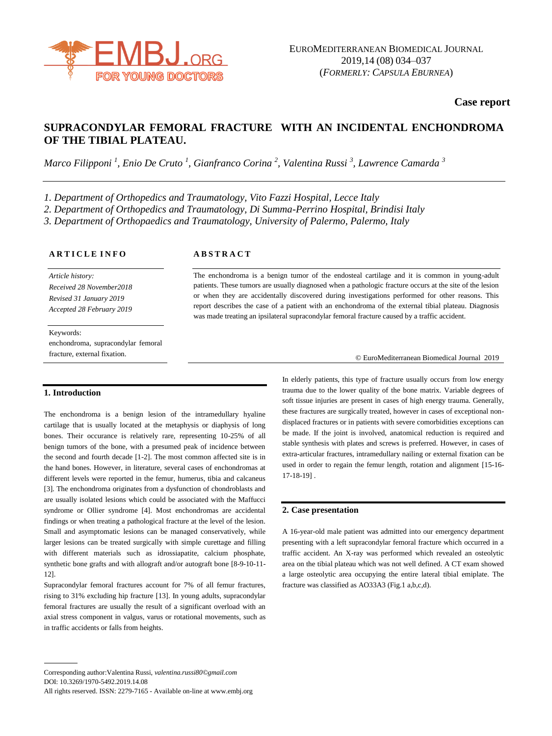

**Case report**

# **SUPRACONDYLAR FEMORAL FRACTURE WITH AN INCIDENTAL ENCHONDROMA OF THE TIBIAL PLATEAU.**

*Marco Filipponi <sup>1</sup> , Enio De Cruto <sup>1</sup> , Gianfranco Corina <sup>2</sup> , Valentina Russi <sup>3</sup> , Lawrence Camarda <sup>3</sup>*

*1. Department of Orthopedics and Traumatology, Vito Fazzi Hospital, Lecce Italy*

*2. Department of Orthopedics and Traumatology, Di Summa-Perrino Hospital, Brindisi Italy*

*3. Department of Orthopaedics and Traumatology, University of Palermo, Palermo, Italy*

## **A R T I C L E I N F O**

*Article history: Received 28 November2018 Revised 31 January 2019 Accepted 28 February 2019*

Keywords: enchondroma, supracondylar femoral fracture, external fixation.

## **A B S T R A C T**

The enchondroma is a benign tumor of the endosteal cartilage and it is common in young-adult patients. These tumors are usually diagnosed when a pathologic fracture occurs at the site of the lesion or when they are accidentally discovered during investigations performed for other reasons. This report describes the case of a patient with an enchondroma of the external tibial plateau. Diagnosis was made treating an ipsilateral supracondylar femoral fracture caused by a traffic accident.

### © EuroMediterranean Biomedical Journal 2019

## **1. Introduction**

The enchondroma is a benign lesion of the intramedullary hyaline cartilage that is usually located at the metaphysis or diaphysis of long bones. Their occurance is relatively rare, representing 10-25% of all benign tumors of the bone, with a presumed peak of incidence between the second and fourth decade [1-2]. The most common affected site is in the hand bones. However, in literature, several cases of enchondromas at different levels were reported in the femur, humerus, tibia and calcaneus [3]. The enchondroma originates from a dysfunction of chondroblasts and are usually isolated lesions which could be associated with the Maffucci syndrome or Ollier syndrome [4]. Most enchondromas are accidental findings or when treating a pathological fracture at the level of the lesion. Small and asymptomatic lesions can be managed conservatively, while larger lesions can be treated surgically with simple curettage and filling with different materials such as idrossiapatite, calcium phosphate, synthetic bone grafts and with allograft and/or autograft bone [8-9-10-11- 12].

Supracondylar femoral fractures account for 7% of all femur fractures, rising to 31% excluding hip fracture [13]. In young adults, supracondylar femoral fractures are usually the result of a significant overload with an axial stress component in valgus, varus or rotational movements, such as in traffic accidents or falls from heights.

Corresponding author:Valentina Russi, *valentina.russi80©gmail.com* DOI: 10.3269/1970-5492.2019.14.08 All rights reserved. ISSN: 2279-7165 - Available on-line at www.embj.org In elderly patients, this type of fracture usually occurs from low energy trauma due to the lower quality of the bone matrix. Variable degrees of soft tissue injuries are present in cases of high energy trauma. Generally, these fractures are surgically treated, however in cases of exceptional nondisplaced fractures or in patients with severe comorbidities exceptions can be made. If the joint is involved, anatomical reduction is required and stable synthesis with plates and screws is preferred. However, in cases of extra-articular fractures, intramedullary nailing or external fixation can be used in order to regain the femur length, rotation and alignment [15-16- 17-18-19] .

## **2. Case presentation**

A 16-year-old male patient was admitted into our emergency department presenting with a left supracondylar femoral fracture which occurred in a traffic accident. An X-ray was performed which revealed an osteolytic area on the tibial plateau which was not well defined. A CT exam showed a large osteolytic area occupying the entire lateral tibial emiplate. The fracture was classified as AO33A3 (Fig.1 a,b,c,d).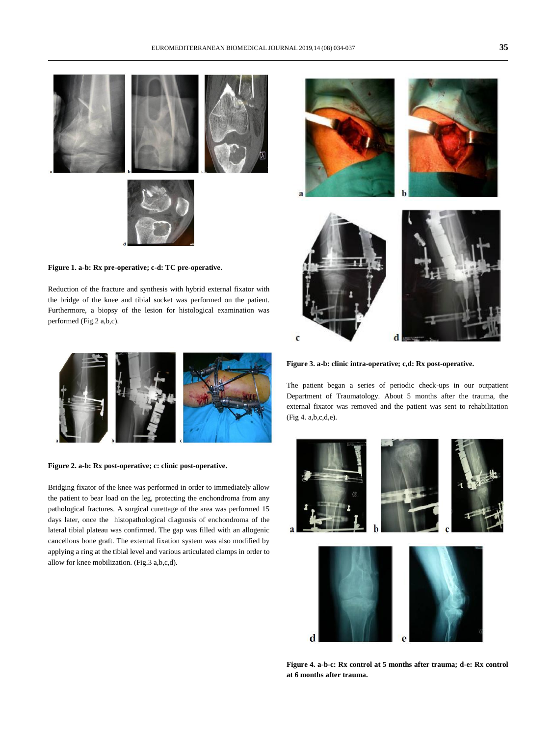

**Figure 1. a-b: Rx pre-operative; c-d: TC pre-operative.**

Reduction of the fracture and synthesis with hybrid external fixator with the bridge of the knee and tibial socket was performed on the patient. Furthermore, a biopsy of the lesion for histological examination was performed (Fig.2 a,b,c).



**Figure 2. a-b: Rx post-operative; c: clinic post-operative.**

Bridging fixator of the knee was performed in order to immediately allow the patient to bear load on the leg, protecting the enchondroma from any pathological fractures. A surgical curettage of the area was performed 15 days later, once the histopathological diagnosis of enchondroma of the lateral tibial plateau was confirmed. The gap was filled with an allogenic cancellous bone graft. The external fixation system was also modified by applying a ring at the tibial level and various articulated clamps in order to allow for knee mobilization. (Fig.3 a,b,c,d).



**Figure 3. a-b: clinic intra-operative; c,d: Rx post-operative.**

The patient began a series of periodic check-ups in our outpatient Department of Traumatology. About 5 months after the trauma, the external fixator was removed and the patient was sent to rehabilitation (Fig 4. a,b,c,d,e).



**Figure 4. a-b-c: Rx control at 5 months after trauma; d-e: Rx control at 6 months after trauma.**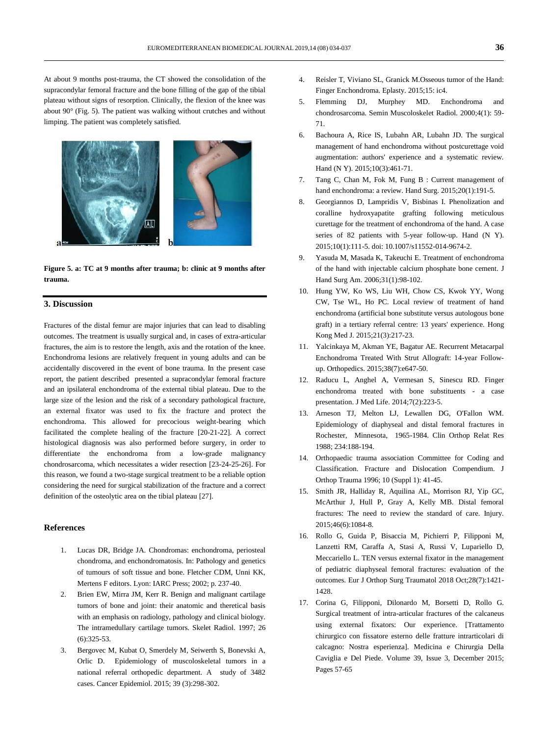At about 9 months post-trauma, the CT showed the consolidation of the supracondylar femoral fracture and the bone filling of the gap of the tibial plateau without signs of resorption. Clinically, the flexion of the knee was about 90° (Fig. 5). The patient was walking without crutches and without limping. The patient was completely satisfied.



**Figure 5. a: TC at 9 months after trauma; b: clinic at 9 months after trauma.**

### **3. Discussion**

Fractures of the distal femur are major injuries that can lead to disabling outcomes. The treatment is usually surgical and, in cases of extra-articular fractures, the aim is to restore the length, axis and the rotation of the knee. Enchondroma lesions are relatively frequent in young adults and can be accidentally discovered in the event of bone trauma. In the present case report, the patient described presented a supracondylar femoral fracture and an ipsilateral enchondroma of the external tibial plateau. Due to the large size of the lesion and the risk of a secondary pathological fracture, an external fixator was used to fix the fracture and protect the enchondroma. This allowed for precocious weight-bearing which facilitated the complete healing of the fracture [20-21-22]. A correct histological diagnosis was also performed before surgery, in order to differentiate the enchondroma from a low-grade malignancy chondrosarcoma, which necessitates a wider resection [23-24-25-26]. For this reason, we found a two-stage surgical treatment to be a reliable option considering the need for surgical stabilization of the fracture and a correct definition of the osteolytic area on the tibial plateau [27].

#### **References**

- 1. [Lucas DR, Bridge JA. Chondromas: enchondroma, periosteal](http://www.ncbi.nlm.nih.gov/pubmed/?term=Bachoura%2520A%255BAuthor%255D&cauthor=true&cauthor_uid=26330779)  [chondroma, and enchondromatosis. In: Pathology and genetics](http://www.ncbi.nlm.nih.gov/pubmed/?term=Bachoura%2520A%255BAuthor%255D&cauthor=true&cauthor_uid=26330779)  [of tumours of soft tissue and bone. Fletcher CDM, Unni KK,](http://www.ncbi.nlm.nih.gov/pubmed/?term=Bachoura%2520A%255BAuthor%255D&cauthor=true&cauthor_uid=26330779)  [Mertens F editors. Lyon: IARC Press; 2002; p. 237-40.](http://www.ncbi.nlm.nih.gov/pubmed/?term=Bachoura%2520A%255BAuthor%255D&cauthor=true&cauthor_uid=26330779)
- 2. [Brien EW, Mirra JM, Kerr R. Benign and malignant cartilage](http://www.ncbi.nlm.nih.gov/pubmed/?term=Bachoura%2520A%255BAuthor%255D&cauthor=true&cauthor_uid=26330779)  [tumors of bone and joint: their anatomic and theretical basis](http://www.ncbi.nlm.nih.gov/pubmed/?term=Bachoura%2520A%255BAuthor%255D&cauthor=true&cauthor_uid=26330779)  [with an emphasis on radiology, pathology and clinical biology.](http://www.ncbi.nlm.nih.gov/pubmed/?term=Bachoura%2520A%255BAuthor%255D&cauthor=true&cauthor_uid=26330779)  [The intramedullary cartilage tumors. Skelet Radiol. 1997; 26](http://www.ncbi.nlm.nih.gov/pubmed/?term=Bachoura%2520A%255BAuthor%255D&cauthor=true&cauthor_uid=26330779)  [\(6\):325-53.](http://www.ncbi.nlm.nih.gov/pubmed/?term=Bachoura%2520A%255BAuthor%255D&cauthor=true&cauthor_uid=26330779)
- 3. [Bergovec M, Kubat O, Smerdely M, Seiwerth S, Bonevski A,](http://www.ncbi.nlm.nih.gov/pubmed/?term=Bachoura%2520A%255BAuthor%255D&cauthor=true&cauthor_uid=26330779)  [Orlic D. Epidemiology of muscoloskeletal tumors in a](http://www.ncbi.nlm.nih.gov/pubmed/?term=Bachoura%2520A%255BAuthor%255D&cauthor=true&cauthor_uid=26330779)  [national referral orthopedic department. A study of 3482](http://www.ncbi.nlm.nih.gov/pubmed/?term=Bachoura%2520A%255BAuthor%255D&cauthor=true&cauthor_uid=26330779)  [cases. Cancer Epidemiol. 2015; 39 \(3\):298-302.](http://www.ncbi.nlm.nih.gov/pubmed/?term=Bachoura%2520A%255BAuthor%255D&cauthor=true&cauthor_uid=26330779)
- 4. Reisler T, [Viviano SL, Granick M.Osseous tumor of the Hand:](http://www.ncbi.nlm.nih.gov/pubmed/?term=Bachoura%2520A%255BAuthor%255D&cauthor=true&cauthor_uid=26330779)  [Finger Enchondroma. Eplasty. 2015;15: ic4.](http://www.ncbi.nlm.nih.gov/pubmed/?term=Bachoura%2520A%255BAuthor%255D&cauthor=true&cauthor_uid=26330779)
- 5. [Flemming DJ, Murphey MD. Enchondroma and](http://www.ncbi.nlm.nih.gov/pubmed/?term=Bachoura%2520A%255BAuthor%255D&cauthor=true&cauthor_uid=26330779) [chondrosarcoma. Semin Muscoloskelet Radiol. 2000;4\(1\): 59-](http://www.ncbi.nlm.nih.gov/pubmed/?term=Bachoura%2520A%255BAuthor%255D&cauthor=true&cauthor_uid=26330779) [71.](http://www.ncbi.nlm.nih.gov/pubmed/?term=Bachoura%2520A%255BAuthor%255D&cauthor=true&cauthor_uid=26330779)
- 6. [Bachoura A,](http://www.ncbi.nlm.nih.gov/pubmed/?term=Bachoura%2520A%255BAuthor%255D&cauthor=true&cauthor_uid=26330779) [Rice IS,](http://www.ncbi.nlm.nih.gov/pubmed/?term=Rice%2520IS%255BAuthor%255D&cauthor=true&cauthor_uid=26330779) [Lubahn AR,](http://www.ncbi.nlm.nih.gov/pubmed/?term=Lubahn%2520AR%255BAuthor%255D&cauthor=true&cauthor_uid=26330779) [Lubahn JD.](http://www.ncbi.nlm.nih.gov/pubmed/?term=Lubahn%2520JD%255BAuthor%255D&cauthor=true&cauthor_uid=26330779) The surgical management of hand enchondroma without postcurettage void augmentation: authors' experience and a systematic review. [Hand \(N Y\).](http://www.ncbi.nlm.nih.gov/pubmed/26330779) 2015;10(3):461-71.
- 7. [Tang C,](http://www.ncbi.nlm.nih.gov/pubmed/?term=Tang%2520C%255BAuthor%255D&cauthor=true&cauthor_uid=25609298) [Chan M,](http://www.ncbi.nlm.nih.gov/pubmed/?term=Chan%2520M%255BAuthor%255D&cauthor=true&cauthor_uid=25609298) [Fok M,](http://www.ncbi.nlm.nih.gov/pubmed/?term=Fok%2520M%255BAuthor%255D&cauthor=true&cauthor_uid=25609298) [Fung B](http://www.ncbi.nlm.nih.gov/pubmed/?term=Fung%2520B%255BAuthor%255D&cauthor=true&cauthor_uid=25609298) : Current management of hand enchondroma: a review. [Hand Surg.](http://www.ncbi.nlm.nih.gov/pubmed/25609298)  $2015;20(1):191-5$ .
- 8. [Georgiannos D,](http://www.ncbi.nlm.nih.gov/pubmed/?term=Georgiannos%2520D%255BAuthor%255D&cauthor=true&cauthor_uid=25767429) [Lampridis V,](http://www.ncbi.nlm.nih.gov/pubmed/?term=Lampridis%2520V%255BAuthor%255D&cauthor=true&cauthor_uid=25767429) [Bisbinas I.](http://www.ncbi.nlm.nih.gov/pubmed/?term=Bisbinas%2520I%255BAuthor%255D&cauthor=true&cauthor_uid=25767429) Phenolization and coralline hydroxyapatite grafting following meticulous curettage for the treatment of enchondroma of the hand. A case series of 82 patients with 5-year follow-up. [Hand \(N Y\).](http://www.ncbi.nlm.nih.gov/pubmed/25767429) 2015;10(1):111-5. doi: 10.1007/s11552-014-9674-2.
- [Yasuda M,](http://www.ncbi.nlm.nih.gov/pubmed/?term=Yasuda%2520M%255BAuthor%255D&cauthor=true&cauthor_uid=16443112) [Masada K,](http://www.ncbi.nlm.nih.gov/pubmed/?term=Masada%2520K%255BAuthor%255D&cauthor=true&cauthor_uid=16443112) [Takeuchi E.](http://www.ncbi.nlm.nih.gov/pubmed/?term=Takeuchi%2520E%255BAuthor%255D&cauthor=true&cauthor_uid=16443112) Treatment of enchondroma of the hand with injectable calcium phosphate bone cement. [J](http://www.ncbi.nlm.nih.gov/pubmed/16443112)  [Hand Surg Am.](http://www.ncbi.nlm.nih.gov/pubmed/16443112) 2006;31(1):98-102.
- 10. [Hung YW,](http://www.ncbi.nlm.nih.gov/pubmed/?term=Hung%2520YW%255BAuthor%255D&cauthor=true&cauthor_uid=25810024) [Ko WS,](http://www.ncbi.nlm.nih.gov/pubmed/?term=Ko%2520WS%255BAuthor%255D&cauthor=true&cauthor_uid=25810024) [Liu WH,](http://www.ncbi.nlm.nih.gov/pubmed/?term=Liu%2520WH%255BAuthor%255D&cauthor=true&cauthor_uid=25810024) [Chow CS,](http://www.ncbi.nlm.nih.gov/pubmed/?term=Chow%2520CS%255BAuthor%255D&cauthor=true&cauthor_uid=25810024) [Kwok YY,](http://www.ncbi.nlm.nih.gov/pubmed/?term=Kwok%2520YY%255BAuthor%255D&cauthor=true&cauthor_uid=25810024) [Wong](http://www.ncbi.nlm.nih.gov/pubmed/?term=Wong%2520CW%255BAuthor%255D&cauthor=true&cauthor_uid=25810024)  [CW,](http://www.ncbi.nlm.nih.gov/pubmed/?term=Wong%2520CW%255BAuthor%255D&cauthor=true&cauthor_uid=25810024) Tse WL, Ho PC. Local review of treatment of hand enchondroma (artificial bone substitute versus autologous bone graft) in a tertiary referral centre: 13 years' experience. [Hong](http://www.ncbi.nlm.nih.gov/pubmed/25810024)  [Kong Med J.](http://www.ncbi.nlm.nih.gov/pubmed/25810024) 2015;21(3):217-23.
- 11. [Yalcinkaya M,](http://www.ncbi.nlm.nih.gov/pubmed/?term=Yalcinkaya%2520M%255BAuthor%255D&cauthor=true&cauthor_uid=26186330) [Akman YE,](http://www.ncbi.nlm.nih.gov/pubmed/?term=Akman%2520YE%255BAuthor%255D&cauthor=true&cauthor_uid=26186330) [Bagatur AE.](http://www.ncbi.nlm.nih.gov/pubmed/?term=Bagatur%2520AE%255BAuthor%255D&cauthor=true&cauthor_uid=26186330) Recurrent Metacarpal Enchondroma Treated With Strut Allograft: 14-year Followup[. Orthopedics.](http://www.ncbi.nlm.nih.gov/pubmed/26186330) 2015;38(7):e647-50.
- 12. [Raducu L,](http://www.ncbi.nlm.nih.gov/pubmed/?term=Raducu%2520L%255BAuthor%255D&cauthor=true&cauthor_uid=25408730) [Anghel A,](http://www.ncbi.nlm.nih.gov/pubmed/?term=Anghel%2520A%255BAuthor%255D&cauthor=true&cauthor_uid=25408730) [Vermesan S,](http://www.ncbi.nlm.nih.gov/pubmed/?term=Vermesan%2520S%255BAuthor%255D&cauthor=true&cauthor_uid=25408730) [Sinescu RD.](http://www.ncbi.nlm.nih.gov/pubmed/?term=Sinescu%2520RD%255BAuthor%255D&cauthor=true&cauthor_uid=25408730) Finger enchondroma treated with bone substituents - a case presentation[. J Med Life.](http://www.ncbi.nlm.nih.gov/pubmed/25408730) 2014;7(2):223-5.
- 13. Arneson TJ, Melton LJ, Lewallen DG, O'Fallon WM. Epidemiology of diaphyseal and distal femoral fractures in Rochester, Minnesota, 1965-1984. Clin Orthop Relat Res 1988; 234:188-194.
- 14. Orthopaedic trauma association Committee for Coding and Classification. Fracture and Dislocation Compendium. J Orthop Trauma 1996; 10 (Suppl 1): 41-45.
- 15. Smith JR, Halliday R, Aquilina AL, Morrison RJ, Yip GC, McArthur J, Hull P, Gray A, Kelly MB. Distal femoral fractures: The need to review the standard of care. Injury. 2015;46(6):1084-8.
- 16. Rollo G, Guida P, Bisaccia M, Pichierri P, Filipponi M, Lanzetti RM, Caraffa A, Stasi A, Russi V, Lupariello D, Meccariello L. TEN versus external fixator in the management of pediatric diaphyseal femoral fractures: evaluation of the outcomes. Eur J Orthop Surg Traumatol 2018 Oct;28(7):1421- 1428.
- 17. Corina G, Filipponi, Dilonardo M, Borsetti D, Rollo G. Surgical treatment of intra-articular fractures of the calcaneus using external fixators: Our experience. [Trattamento chirurgico con fissatore esterno delle fratture intrarticolari di calcagno: Nostra esperienza]. [Medicina e Chirurgia Della](https://www.scopus.com/sourceid/21100855844?origin=recordpage)  [Caviglia e Del Piede.](https://www.scopus.com/sourceid/21100855844?origin=recordpage) Volume 39, Issue 3, December 2015; Pages 57-65